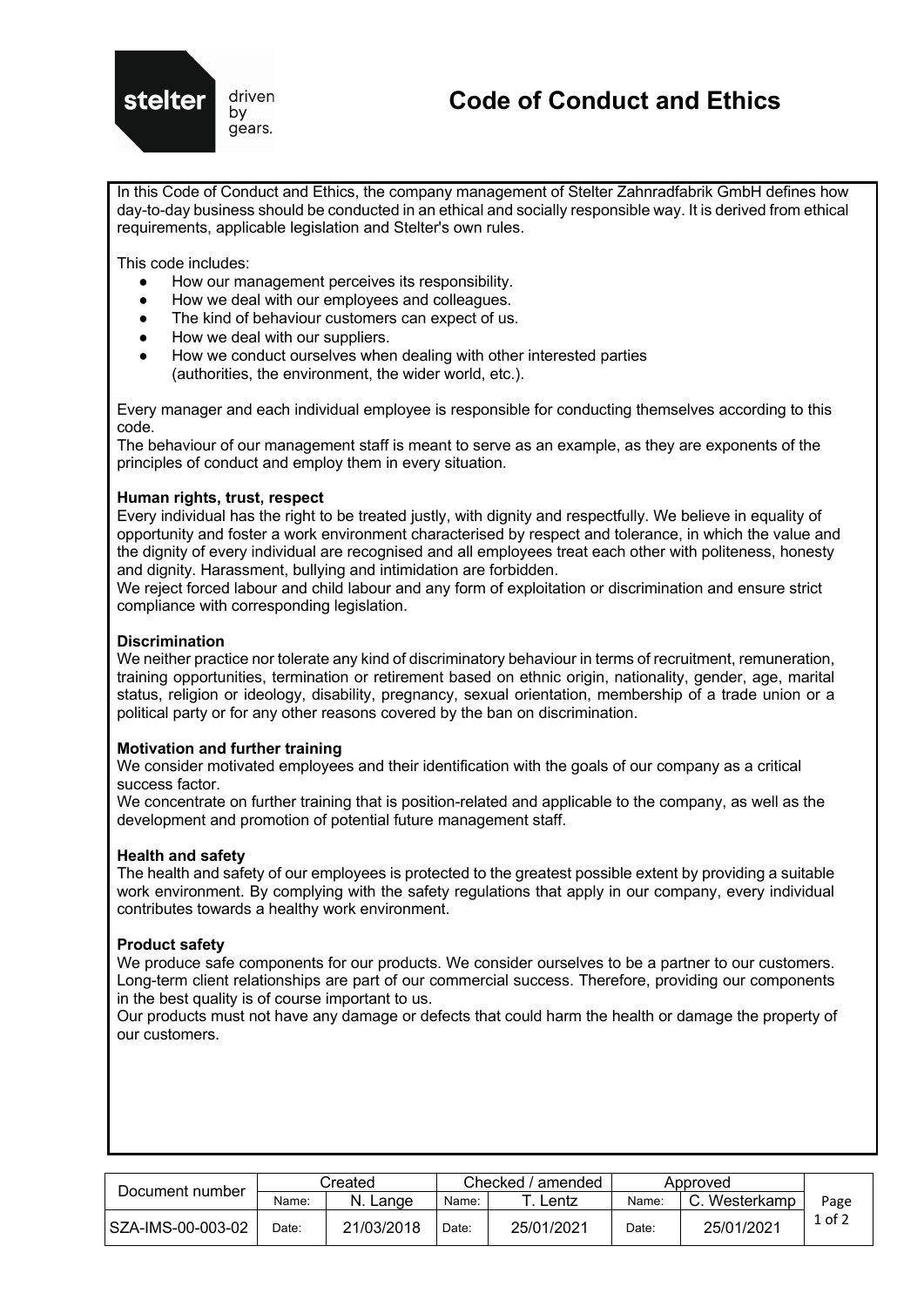

# **Code of Conduct and Ethics**

In this Code of Conduct and Ethics, the company management of Stelter Zahnradfabrik GmbH defines how day-to-day business should be conducted in an ethical and socially responsible way. It is derived from ethical requirements, applicable legislation and Stelter's own rules.

This code includes:

- How our management perceives its responsibility.
- How we deal with our employees and colleagues.
- The kind of behaviour customers can expect of us.
- How we deal with our suppliers.
- How we conduct ourselves when dealing with other interested parties (authorities, the environment, the wider world, etc.).

Every manager and each individual employee is responsible for conducting themselves according to this code.

The behaviour of our management staff is meant to serve as an example, as they are exponents of the principles of conduct and employ them in every situation.

# **Human rights, trust, respect**

Every individual has the right to be treated justly, with dignity and respectfully. We believe in equality of opportunity and foster a work environment characterised by respect and tolerance, in which the value and the dignity of every individual are recognised and all employees treat each other with politeness, honesty and dignity. Harassment, bullying and intimidation are forbidden.

We reject forced labour and child labour and any form of exploitation or discrimination and ensure strict compliance with corresponding legislation.

# **Discrimination**

We neither practice nor tolerate any kind of discriminatory behaviour in terms of recruitment, remuneration, training opportunities, termination or retirement based on ethnic origin, nationality, gender, age, marital status, religion or ideology, disability, pregnancy, sexual orientation, membership of a trade union or a political party or for any other reasons covered by the ban on discrimination.

## **Motivation and further training**

We consider motivated employees and their identification with the goals of our company as a critical success factor.

We concentrate on further training that is position-related and applicable to the company, as well as the development and promotion of potential future management staff.

## **Health and safety**

The health and safety of our employees is protected to the greatest possible extent by providing a suitable work environment. By complying with the safety regulations that apply in our company, every individual contributes towards a healthy work environment.

## **Product safety**

We produce safe components for our products. We consider ourselves to be a partner to our customers. Long-term client relationships are part of our commercial success. Therefore, providing our components in the best quality is of course important to us.

Our products must not have any damage or defects that could harm the health or damage the property of our customers.

| Document number     | Created |            | Checked / amended |            | Approved |               |            |
|---------------------|---------|------------|-------------------|------------|----------|---------------|------------|
|                     | Name:   | N. Lange   | Name:             | ∟entz      | Name:    | C. Westerkamp | Page       |
| l SZA-IMS-00-003-02 | ר Oate: | 21/03/2018 | Date:             | 25/01/2021 | Date:    | 25/01/2021    | $1$ of $2$ |